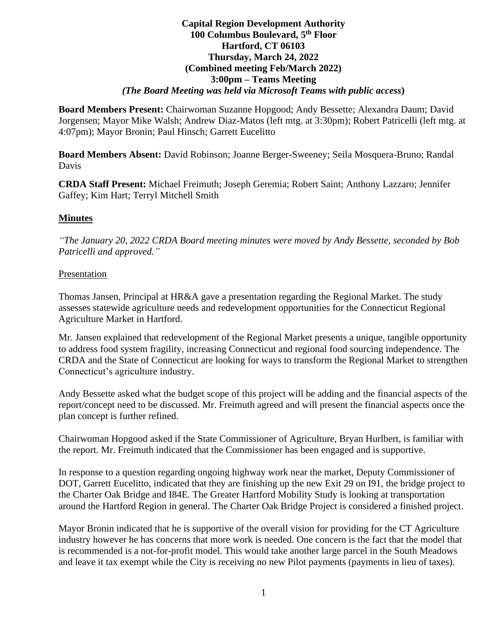#### **Capital Region Development Authority 100 Columbus Boulevard, 5 th Floor Hartford, CT 06103 Thursday, March 24, 2022 (Combined meeting Feb/March 2022) 3:00pm – Teams Meeting** *(The Board Meeting was held via Microsoft Teams with public access***)**

**Board Members Present:** Chairwoman Suzanne Hopgood; Andy Bessette; Alexandra Daum; David Jorgensen; Mayor Mike Walsh; Andrew Diaz-Matos (left mtg. at 3:30pm); Robert Patricelli (left mtg. at 4:07pm); Mayor Bronin; Paul Hinsch; Garrett Eucelitto

**Board Members Absent:** David Robinson; Joanne Berger-Sweeney; Seila Mosquera-Bruno; Randal Davis

**CRDA Staff Present:** Michael Freimuth; Joseph Geremia; Robert Saint; Anthony Lazzaro; Jennifer Gaffey; Kim Hart; Terryl Mitchell Smith

# **Minutes**

*"The January 20, 2022 CRDA Board meeting minutes were moved by Andy Bessette, seconded by Bob Patricelli and approved."*

## Presentation

Thomas Jansen, Principal at HR&A gave a presentation regarding the Regional Market. The study assesses statewide agriculture needs and redevelopment opportunities for the Connecticut Regional Agriculture Market in Hartford.

Mr. Jansen explained that redevelopment of the Regional Market presents a unique, tangible opportunity to address food system fragility, increasing Connecticut and regional food sourcing independence. The CRDA and the State of Connecticut are looking for ways to transform the Regional Market to strengthen Connecticut's agriculture industry.

Andy Bessette asked what the budget scope of this project will be adding and the financial aspects of the report/concept need to be discussed. Mr. Freimuth agreed and will present the financial aspects once the plan concept is further refined.

Chairwoman Hopgood asked if the State Commissioner of Agriculture, Bryan Hurlbert, is familiar with the report. Mr. Freimuth indicated that the Commissioner has been engaged and is supportive.

In response to a question regarding ongoing highway work near the market, Deputy Commissioner of DOT, Garrett Eucelitto, indicated that they are finishing up the new Exit 29 on I91, the bridge project to the Charter Oak Bridge and I84E. The Greater Hartford Mobility Study is looking at transportation around the Hartford Region in general. The Charter Oak Bridge Project is considered a finished project.

Mayor Bronin indicated that he is supportive of the overall vision for providing for the CT Agriculture industry however he has concerns that more work is needed. One concern is the fact that the model that is recommended is a not-for-profit model. This would take another large parcel in the South Meadows and leave it tax exempt while the City is receiving no new Pilot payments (payments in lieu of taxes).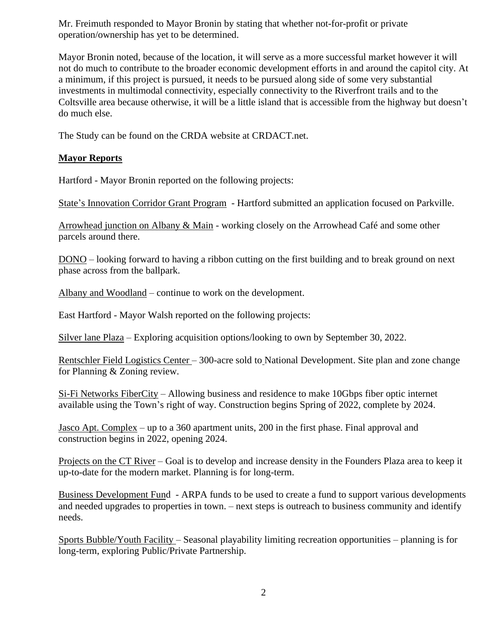Mr. Freimuth responded to Mayor Bronin by stating that whether not-for-profit or private operation/ownership has yet to be determined.

Mayor Bronin noted, because of the location, it will serve as a more successful market however it will not do much to contribute to the broader economic development efforts in and around the capitol city. At a minimum, if this project is pursued, it needs to be pursued along side of some very substantial investments in multimodal connectivity, especially connectivity to the Riverfront trails and to the Coltsville area because otherwise, it will be a little island that is accessible from the highway but doesn't do much else.

The Study can be found on the CRDA website at CRDACT.net.

## **Mayor Reports**

Hartford - Mayor Bronin reported on the following projects:

State's Innovation Corridor Grant Program - Hartford submitted an application focused on Parkville.

Arrowhead junction on Albany & Main - working closely on the Arrowhead Café and some other parcels around there.

DONO – looking forward to having a ribbon cutting on the first building and to break ground on next phase across from the ballpark.

Albany and Woodland – continue to work on the development.

East Hartford - Mayor Walsh reported on the following projects:

Silver lane Plaza – Exploring acquisition options/looking to own by September 30, 2022.

Rentschler Field Logistics Center – 300-acre sold to National Development. Site plan and zone change for Planning & Zoning review.

Si-Fi Networks FiberCity – Allowing business and residence to make 10Gbps fiber optic internet available using the Town's right of way. Construction begins Spring of 2022, complete by 2024.

Jasco Apt. Complex – up to a 360 apartment units, 200 in the first phase. Final approval and construction begins in 2022, opening 2024.

Projects on the CT River – Goal is to develop and increase density in the Founders Plaza area to keep it up-to-date for the modern market. Planning is for long-term.

Business Development Fund - ARPA funds to be used to create a fund to support various developments and needed upgrades to properties in town. – next steps is outreach to business community and identify needs.

Sports Bubble/Youth Facility – Seasonal playability limiting recreation opportunities – planning is for long-term, exploring Public/Private Partnership.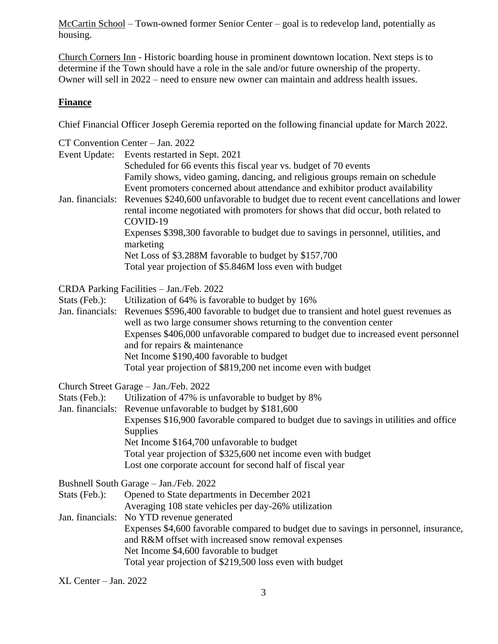McCartin School – Town-owned former Senior Center – goal is to redevelop land, potentially as housing.

Church Corners Inn - Historic boarding house in prominent downtown location. Next steps is to determine if the Town should have a role in the sale and/or future ownership of the property. Owner will sell in 2022 – need to ensure new owner can maintain and address health issues.

#### **Finance**

Chief Financial Officer Joseph Geremia reported on the following financial update for March 2022.

|                                          | CT Convention Center - Jan. 2022                                                                      |  |
|------------------------------------------|-------------------------------------------------------------------------------------------------------|--|
| Event Update:                            | Events restarted in Sept. 2021                                                                        |  |
|                                          | Scheduled for 66 events this fiscal year vs. budget of 70 events                                      |  |
|                                          | Family shows, video gaming, dancing, and religious groups remain on schedule                          |  |
|                                          | Event promoters concerned about attendance and exhibitor product availability                         |  |
|                                          | Jan. financials: Revenues \$240,600 unfavorable to budget due to recent event cancellations and lower |  |
|                                          | rental income negotiated with promoters for shows that did occur, both related to<br>COVID-19         |  |
|                                          | Expenses \$398,300 favorable to budget due to savings in personnel, utilities, and<br>marketing       |  |
|                                          | Net Loss of \$3.288M favorable to budget by \$157,700                                                 |  |
|                                          | Total year projection of \$5.846M loss even with budget                                               |  |
|                                          |                                                                                                       |  |
| CRDA Parking Facilities - Jan./Feb. 2022 |                                                                                                       |  |
| Stats (Feb.):                            | Utilization of 64% is favorable to budget by 16%                                                      |  |
|                                          | Jan. financials: Revenues \$596,400 favorable to budget due to transient and hotel guest revenues as  |  |
|                                          | well as two large consumer shows returning to the convention center                                   |  |
|                                          | Expenses \$406,000 unfavorable compared to budget due to increased event personnel                    |  |
|                                          | and for repairs & maintenance                                                                         |  |
|                                          | Net Income \$190,400 favorable to budget                                                              |  |
|                                          | Total year projection of \$819,200 net income even with budget                                        |  |
|                                          | Church Street Garage - Jan./Feb. 2022                                                                 |  |
| Stats (Feb.):                            | Utilization of 47% is unfavorable to budget by 8%                                                     |  |
|                                          | Jan. financials: Revenue unfavorable to budget by \$181,600                                           |  |
|                                          | Expenses \$16,900 favorable compared to budget due to savings in utilities and office                 |  |
|                                          | <b>Supplies</b>                                                                                       |  |
|                                          | Net Income \$164,700 unfavorable to budget                                                            |  |
|                                          | Total year projection of \$325,600 net income even with budget                                        |  |
|                                          | Lost one corporate account for second half of fiscal year                                             |  |
|                                          | Bushnell South Garage - Jan./Feb. 2022                                                                |  |
| Stats (Feb.):                            | Opened to State departments in December 2021                                                          |  |
|                                          | Averaging 108 state vehicles per day-26% utilization                                                  |  |
| Jan. financials:                         | No YTD revenue generated                                                                              |  |
|                                          | Expenses \$4,600 favorable compared to budget due to savings in personnel, insurance,                 |  |
|                                          | and R&M offset with increased snow removal expenses                                                   |  |
|                                          | Net Income \$4,600 favorable to budget                                                                |  |
|                                          | Total year projection of \$219,500 loss even with budget                                              |  |

XL Center – Jan. 2022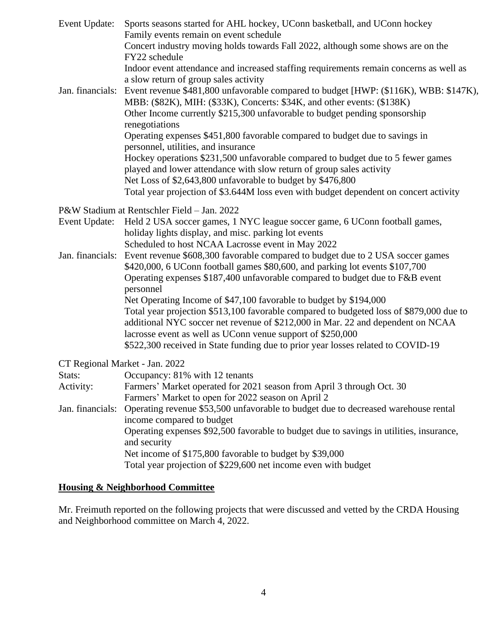| Event Update:                  | Sports seasons started for AHL hockey, UConn basketball, and UConn hockey<br>Family events remain on event schedule<br>Concert industry moving holds towards Fall 2022, although some shows are on the<br>FY22 schedule<br>Indoor event attendance and increased staffing requirements remain concerns as well as                                                                                                                                                                                                                                                                                                                                                                                                                                |  |
|--------------------------------|--------------------------------------------------------------------------------------------------------------------------------------------------------------------------------------------------------------------------------------------------------------------------------------------------------------------------------------------------------------------------------------------------------------------------------------------------------------------------------------------------------------------------------------------------------------------------------------------------------------------------------------------------------------------------------------------------------------------------------------------------|--|
| Jan. financials:               | a slow return of group sales activity<br>Event revenue \$481,800 unfavorable compared to budget [HWP: (\$116K), WBB: \$147K),<br>MBB: (\$82K), MIH: (\$33K), Concerts: \$34K, and other events: (\$138K)<br>Other Income currently \$215,300 unfavorable to budget pending sponsorship<br>renegotiations<br>Operating expenses \$451,800 favorable compared to budget due to savings in<br>personnel, utilities, and insurance<br>Hockey operations \$231,500 unfavorable compared to budget due to 5 fewer games<br>played and lower attendance with slow return of group sales activity<br>Net Loss of \$2,643,800 unfavorable to budget by \$476,800<br>Total year projection of \$3.644M loss even with budget dependent on concert activity |  |
|                                | P&W Stadium at Rentschler Field - Jan. 2022                                                                                                                                                                                                                                                                                                                                                                                                                                                                                                                                                                                                                                                                                                      |  |
| Event Update:                  | Held 2 USA soccer games, 1 NYC league soccer game, 6 UConn football games,<br>holiday lights display, and misc. parking lot events<br>Scheduled to host NCAA Lacrosse event in May 2022                                                                                                                                                                                                                                                                                                                                                                                                                                                                                                                                                          |  |
| Jan. financials:               | Event revenue \$608,300 favorable compared to budget due to 2 USA soccer games<br>\$420,000, 6 UConn football games \$80,600, and parking lot events \$107,700<br>Operating expenses \$187,400 unfavorable compared to budget due to F&B event<br>personnel<br>Net Operating Income of \$47,100 favorable to budget by \$194,000<br>Total year projection \$513,100 favorable compared to budgeted loss of \$879,000 due to                                                                                                                                                                                                                                                                                                                      |  |
|                                | additional NYC soccer net revenue of \$212,000 in Mar. 22 and dependent on NCAA<br>lacrosse event as well as UConn venue support of \$250,000                                                                                                                                                                                                                                                                                                                                                                                                                                                                                                                                                                                                    |  |
|                                | \$522,300 received in State funding due to prior year losses related to COVID-19                                                                                                                                                                                                                                                                                                                                                                                                                                                                                                                                                                                                                                                                 |  |
| CT Regional Market - Jan. 2022 |                                                                                                                                                                                                                                                                                                                                                                                                                                                                                                                                                                                                                                                                                                                                                  |  |
| Stats:                         | Occupancy: 81% with 12 tenants                                                                                                                                                                                                                                                                                                                                                                                                                                                                                                                                                                                                                                                                                                                   |  |
| Activity:                      | Farmers' Market operated for 2021 season from April 3 through Oct. 30<br>Farmers' Market to open for 2022 season on April 2                                                                                                                                                                                                                                                                                                                                                                                                                                                                                                                                                                                                                      |  |
| Jan. financials:               | Operating revenue \$53,500 unfavorable to budget due to decreased warehouse rental<br>income compared to budget<br>Operating expenses \$92,500 favorable to budget due to savings in utilities, insurance,<br>and security<br>Net income of \$175,800 favorable to budget by \$39,000<br>Total year projection of \$229,600 net income even with budget                                                                                                                                                                                                                                                                                                                                                                                          |  |

# **Housing & Neighborhood Committee**

Mr. Freimuth reported on the following projects that were discussed and vetted by the CRDA Housing and Neighborhood committee on March 4, 2022.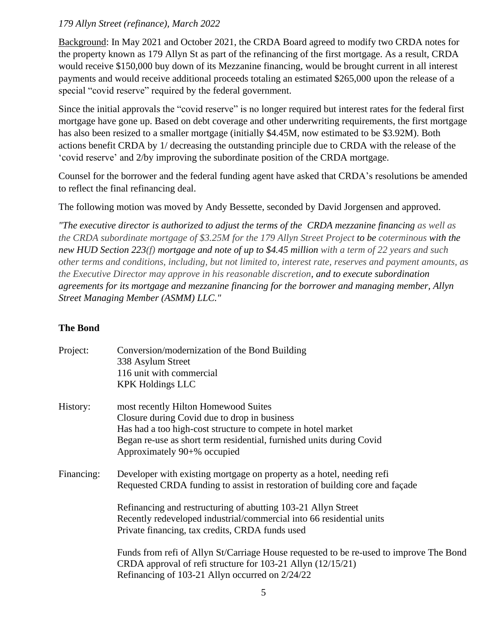## *179 Allyn Street (refinance), March 2022*

Background: In May 2021 and October 2021, the CRDA Board agreed to modify two CRDA notes for the property known as 179 Allyn St as part of the refinancing of the first mortgage. As a result, CRDA would receive \$150,000 buy down of its Mezzanine financing, would be brought current in all interest payments and would receive additional proceeds totaling an estimated \$265,000 upon the release of a special "covid reserve" required by the federal government.

Since the initial approvals the "covid reserve" is no longer required but interest rates for the federal first mortgage have gone up. Based on debt coverage and other underwriting requirements, the first mortgage has also been resized to a smaller mortgage (initially \$4.45M, now estimated to be \$3.92M). Both actions benefit CRDA by 1/ decreasing the outstanding principle due to CRDA with the release of the 'covid reserve' and 2/by improving the subordinate position of the CRDA mortgage.

Counsel for the borrower and the federal funding agent have asked that CRDA's resolutions be amended to reflect the final refinancing deal.

The following motion was moved by Andy Bessette, seconded by David Jorgensen and approved.

*"The executive director is authorized to adjust the terms of the CRDA mezzanine financing as well as the CRDA subordinate mortgage of \$3.25M for the 179 Allyn Street Project to be coterminous with the new HUD Section 223(f) mortgage and note of up to \$4.45 million with a term of 22 years and such other terms and conditions, including, but not limited to, interest rate, reserves and payment amounts, as the Executive Director may approve in his reasonable discretion, and to execute subordination agreements for its mortgage and mezzanine financing for the borrower and managing member, Allyn Street Managing Member (ASMM) LLC."*

# **The Bond**

| Project:   | Conversion/modernization of the Bond Building<br>338 Asylum Street<br>116 unit with commercial<br><b>KPK Holdings LLC</b>                                                                                                                                   |
|------------|-------------------------------------------------------------------------------------------------------------------------------------------------------------------------------------------------------------------------------------------------------------|
| History:   | most recently Hilton Homewood Suites<br>Closure during Covid due to drop in business<br>Has had a too high-cost structure to compete in hotel market<br>Began re-use as short term residential, furnished units during Covid<br>Approximately 90+% occupied |
| Financing: | Developer with existing mortgage on property as a hotel, needing refi<br>Requested CRDA funding to assist in restoration of building core and façade                                                                                                        |
|            | Refinancing and restructuring of abutting 103-21 Allyn Street<br>Recently redeveloped industrial/commercial into 66 residential units<br>Private financing, tax credits, CRDA funds used                                                                    |
|            | Funds from refi of Allyn St/Carriage House requested to be re-used to improve The Bond<br>CRDA approval of refi structure for 103-21 Allyn (12/15/21)<br>Refinancing of 103-21 Allyn occurred on 2/24/22                                                    |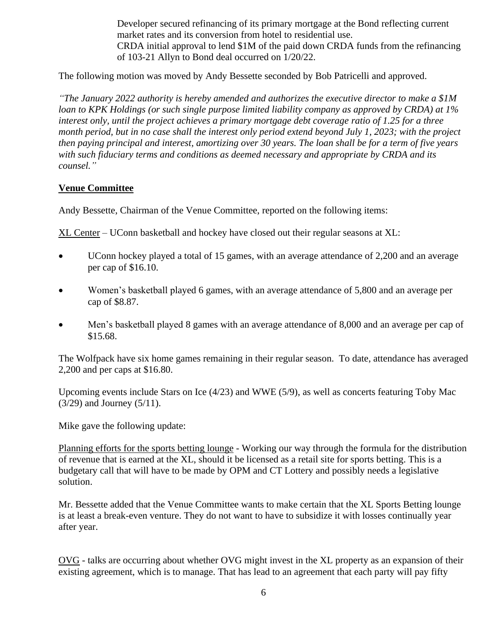Developer secured refinancing of its primary mortgage at the Bond reflecting current market rates and its conversion from hotel to residential use. CRDA initial approval to lend \$1M of the paid down CRDA funds from the refinancing of 103-21 Allyn to Bond deal occurred on 1/20/22.

The following motion was moved by Andy Bessette seconded by Bob Patricelli and approved.

*"The January 2022 authority is hereby amended and authorizes the executive director to make a \$1M loan to KPK Holdings (or such single purpose limited liability company as approved by CRDA) at 1% interest only, until the project achieves a primary mortgage debt coverage ratio of 1.25 for a three month period, but in no case shall the interest only period extend beyond July 1, 2023; with the project then paying principal and interest, amortizing over 30 years. The loan shall be for a term of five years with such fiduciary terms and conditions as deemed necessary and appropriate by CRDA and its counsel."*

#### **Venue Committee**

Andy Bessette, Chairman of the Venue Committee, reported on the following items:

XL Center – UConn basketball and hockey have closed out their regular seasons at XL:

- UConn hockey played a total of 15 games, with an average attendance of 2,200 and an average per cap of \$16.10.
- Women's basketball played 6 games, with an average attendance of 5,800 and an average per cap of \$8.87.
- Men's basketball played 8 games with an average attendance of 8,000 and an average per cap of \$15.68.

The Wolfpack have six home games remaining in their regular season. To date, attendance has averaged 2,200 and per caps at \$16.80.

Upcoming events include Stars on Ice (4/23) and WWE (5/9), as well as concerts featuring Toby Mac (3/29) and Journey (5/11).

Mike gave the following update:

Planning efforts for the sports betting lounge - Working our way through the formula for the distribution of revenue that is earned at the XL, should it be licensed as a retail site for sports betting. This is a budgetary call that will have to be made by OPM and CT Lottery and possibly needs a legislative solution.

Mr. Bessette added that the Venue Committee wants to make certain that the XL Sports Betting lounge is at least a break-even venture. They do not want to have to subsidize it with losses continually year after year.

OVG - talks are occurring about whether OVG might invest in the XL property as an expansion of their existing agreement, which is to manage. That has lead to an agreement that each party will pay fifty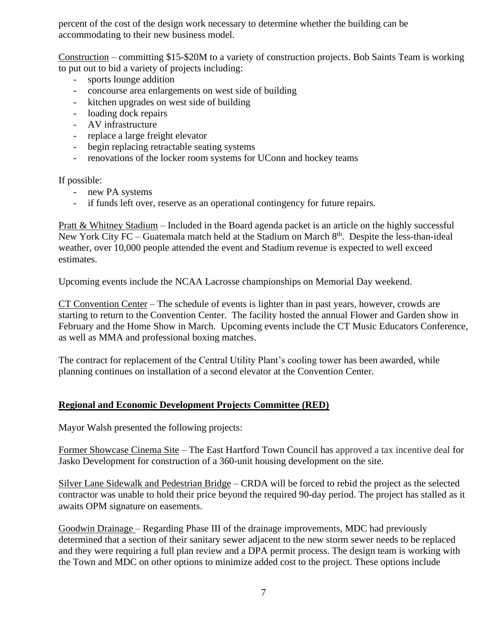percent of the cost of the design work necessary to determine whether the building can be accommodating to their new business model.

Construction – committing \$15-\$20M to a variety of construction projects. Bob Saints Team is working to put out to bid a variety of projects including:

- sports lounge addition
- concourse area enlargements on west side of building
- kitchen upgrades on west side of building
- loading dock repairs
- AV infrastructure
- replace a large freight elevator
- begin replacing retractable seating systems
- renovations of the locker room systems for UConn and hockey teams

If possible:

- new PA systems
- if funds left over, reserve as an operational contingency for future repairs.

Pratt & Whitney Stadium – Included in the Board agenda packet is an article on the highly successful New York City  $FC - Guatemala$  match held at the Stadium on March  $8<sup>th</sup>$ . Despite the less-than-ideal weather, over 10,000 people attended the event and Stadium revenue is expected to well exceed estimates.

Upcoming events include the NCAA Lacrosse championships on Memorial Day weekend.

CT Convention Center – The schedule of events is lighter than in past years, however, crowds are starting to return to the Convention Center. The facility hosted the annual Flower and Garden show in February and the Home Show in March. Upcoming events include the CT Music Educators Conference, as well as MMA and professional boxing matches.

The contract for replacement of the Central Utility Plant's cooling tower has been awarded, while planning continues on installation of a second elevator at the Convention Center.

## **Regional and Economic Development Projects Committee (RED)**

Mayor Walsh presented the following projects:

Former Showcase Cinema Site – The East Hartford Town Council has approved a tax incentive deal for Jasko Development for construction of a 360-unit housing development on the site.

Silver Lane Sidewalk and Pedestrian Bridge – CRDA will be forced to rebid the project as the selected contractor was unable to hold their price beyond the required 90-day period. The project has stalled as it awaits OPM signature on easements.

Goodwin Drainage – Regarding Phase III of the drainage improvements, MDC had previously determined that a section of their sanitary sewer adjacent to the new storm sewer needs to be replaced and they were requiring a full plan review and a DPA permit process. The design team is working with the Town and MDC on other options to minimize added cost to the project. These options include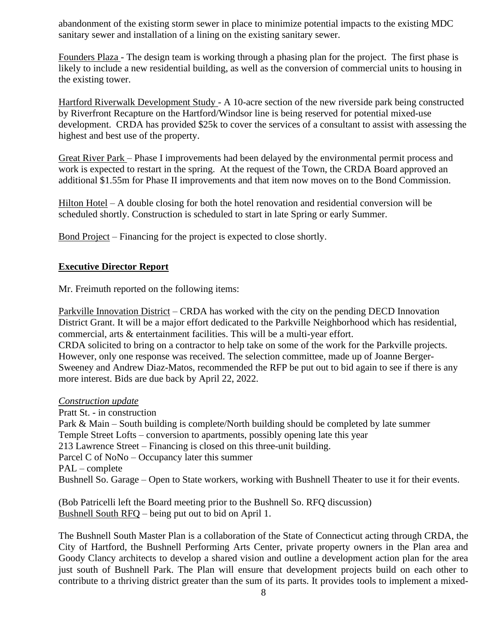abandonment of the existing storm sewer in place to minimize potential impacts to the existing MDC sanitary sewer and installation of a lining on the existing sanitary sewer.

Founders Plaza - The design team is working through a phasing plan for the project. The first phase is likely to include a new residential building, as well as the conversion of commercial units to housing in the existing tower.

Hartford Riverwalk Development Study - A 10-acre section of the new riverside park being constructed by Riverfront Recapture on the Hartford/Windsor line is being reserved for potential mixed-use development. CRDA has provided \$25k to cover the services of a consultant to assist with assessing the highest and best use of the property.

Great River Park – Phase I improvements had been delayed by the environmental permit process and work is expected to restart in the spring. At the request of the Town, the CRDA Board approved an additional \$1.55m for Phase II improvements and that item now moves on to the Bond Commission.

Hilton Hotel – A double closing for both the hotel renovation and residential conversion will be scheduled shortly. Construction is scheduled to start in late Spring or early Summer.

Bond Project – Financing for the project is expected to close shortly.

#### **Executive Director Report**

Mr. Freimuth reported on the following items:

Parkville Innovation District – CRDA has worked with the city on the pending DECD Innovation District Grant. It will be a major effort dedicated to the Parkville Neighborhood which has residential, commercial, arts & entertainment facilities. This will be a multi-year effort. CRDA solicited to bring on a contractor to help take on some of the work for the Parkville projects. However, only one response was received. The selection committee, made up of Joanne Berger-Sweeney and Andrew Diaz-Matos, recommended the RFP be put out to bid again to see if there is any more interest. Bids are due back by April 22, 2022.

#### *Construction update*

Pratt St. - in construction Park & Main – South building is complete/North building should be completed by late summer Temple Street Lofts – conversion to apartments, possibly opening late this year 213 Lawrence Street – Financing is closed on this three-unit building. Parcel C of NoNo – Occupancy later this summer PAL – complete Bushnell So. Garage – Open to State workers, working with Bushnell Theater to use it for their events.

(Bob Patricelli left the Board meeting prior to the Bushnell So. RFQ discussion) Bushnell South RFQ – being put out to bid on April 1.

The Bushnell South Master Plan is a collaboration of the State of Connecticut acting through CRDA, the City of Hartford, the Bushnell Performing Arts Center, private property owners in the Plan area and Goody Clancy architects to develop a shared vision and outline a development action plan for the area just south of Bushnell Park. The Plan will ensure that development projects build on each other to contribute to a thriving district greater than the sum of its parts. It provides tools to implement a mixed